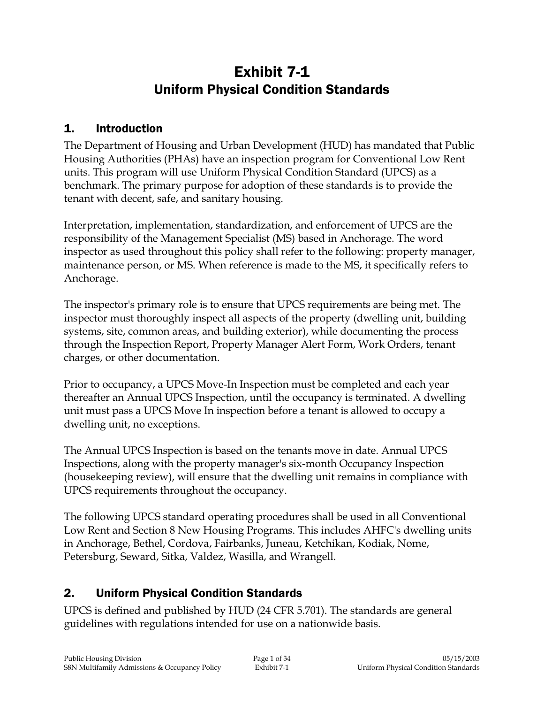# Exhibit 7-1 Uniform Physical Condition Standards

## 1. Introduction

The Department of Housing and Urban Development (HUD) has mandated that Public Housing Authorities (PHAs) have an inspection program for Conventional Low Rent units. This program will use Uniform Physical Condition Standard (UPCS) as a benchmark. The primary purpose for adoption of these standards is to provide the tenant with decent, safe, and sanitary housing.

Interpretation, implementation, standardization, and enforcement of UPCS are the responsibility of the Management Specialist (MS) based in Anchorage. The word inspector as used throughout this policy shall refer to the following: property manager, maintenance person, or MS. When reference is made to the MS, it specifically refers to Anchorage.

The inspector's primary role is to ensure that UPCS requirements are being met. The inspector must thoroughly inspect all aspects of the property (dwelling unit, building systems, site, common areas, and building exterior), while documenting the process through the Inspection Report, Property Manager Alert Form, Work Orders, tenant charges, or other documentation.

Prior to occupancy, a UPCS Move-In Inspection must be completed and each year thereafter an Annual UPCS Inspection, until the occupancy is terminated. A dwelling unit must pass a UPCS Move In inspection before a tenant is allowed to occupy a dwelling unit, no exceptions.

The Annual UPCS Inspection is based on the tenants move in date. Annual UPCS Inspections, along with the property manager's six-month Occupancy Inspection (housekeeping review), will ensure that the dwelling unit remains in compliance with UPCS requirements throughout the occupancy.

The following UPCS standard operating procedures shall be used in all Conventional Low Rent and Section 8 New Housing Programs. This includes AHFC's dwelling units in Anchorage, Bethel, Cordova, Fairbanks, Juneau, Ketchikan, Kodiak, Nome, Petersburg, Seward, Sitka, Valdez, Wasilla, and Wrangell.

## 2. Uniform Physical Condition Standards

UPCS is defined and published by HUD (24 CFR 5.701). The standards are general guidelines with regulations intended for use on a nationwide basis.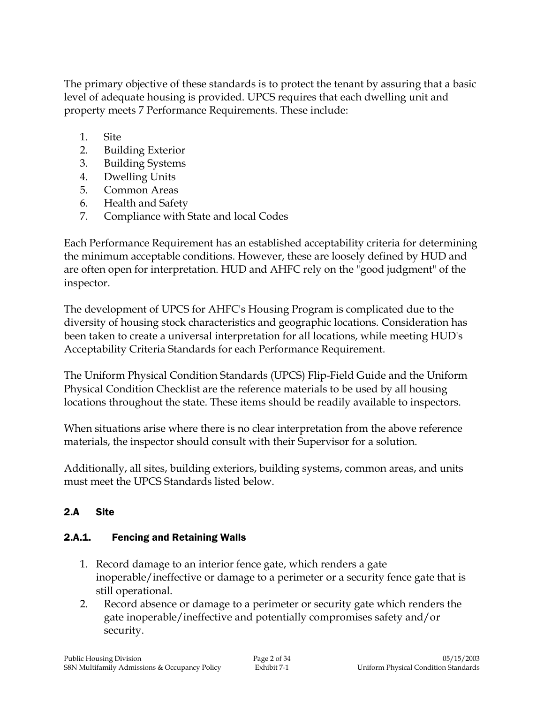The primary objective of these standards is to protect the tenant by assuring that a basic level of adequate housing is provided. UPCS requires that each dwelling unit and property meets 7 Performance Requirements. These include:

- 1. Site
- 2. Building Exterior
- 3. Building Systems
- 4. Dwelling Units
- 5. Common Areas
- 6. Health and Safety
- 7. Compliance with State and local Codes

Each Performance Requirement has an established acceptability criteria for determining the minimum acceptable conditions. However, these are loosely defined by HUD and are often open for interpretation. HUD and AHFC rely on the "good judgment" of the inspector.

The development of UPCS for AHFC's Housing Program is complicated due to the diversity of housing stock characteristics and geographic locations. Consideration has been taken to create a universal interpretation for all locations, while meeting HUD's Acceptability Criteria Standards for each Performance Requirement.

The Uniform Physical Condition Standards (UPCS) Flip-Field Guide and the Uniform Physical Condition Checklist are the reference materials to be used by all housing locations throughout the state. These items should be readily available to inspectors.

When situations arise where there is no clear interpretation from the above reference materials, the inspector should consult with their Supervisor for a solution.

Additionally, all sites, building exteriors, building systems, common areas, and units must meet the UPCS Standards listed below.

#### 2.A Site

#### 2.A.1. Fencing and Retaining Walls

- 1. Record damage to an interior fence gate, which renders a gate inoperable/ineffective or damage to a perimeter or a security fence gate that is still operational.
- 2. Record absence or damage to a perimeter or security gate which renders the gate inoperable/ineffective and potentially compromises safety and/or security.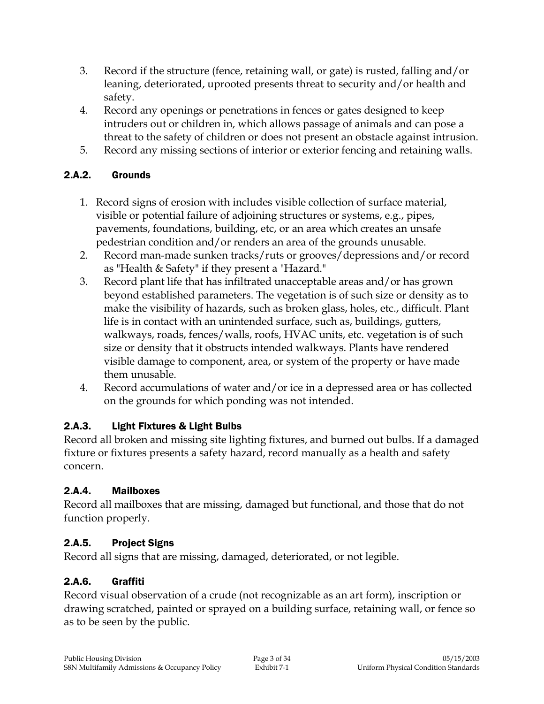- 3. Record if the structure (fence, retaining wall, or gate) is rusted, falling and/or leaning, deteriorated, uprooted presents threat to security and/or health and safety.
- 4. Record any openings or penetrations in fences or gates designed to keep intruders out or children in, which allows passage of animals and can pose a threat to the safety of children or does not present an obstacle against intrusion.
- 5. Record any missing sections of interior or exterior fencing and retaining walls.

### 2.A.2. Grounds

- 1. Record signs of erosion with includes visible collection of surface material, visible or potential failure of adjoining structures or systems, e.g., pipes, pavements, foundations, building, etc, or an area which creates an unsafe pedestrian condition and/or renders an area of the grounds unusable.
- 2. Record man-made sunken tracks/ruts or grooves/depressions and/or record as "Health & Safety" if they present a "Hazard."
- 3. Record plant life that has infiltrated unacceptable areas and/or has grown beyond established parameters. The vegetation is of such size or density as to make the visibility of hazards, such as broken glass, holes, etc., difficult. Plant life is in contact with an unintended surface, such as, buildings, gutters, walkways, roads, fences/walls, roofs, HVAC units, etc. vegetation is of such size or density that it obstructs intended walkways. Plants have rendered visible damage to component, area, or system of the property or have made them unusable.
- 4. Record accumulations of water and/or ice in a depressed area or has collected on the grounds for which ponding was not intended.

## 2.A.3. Light Fixtures & Light Bulbs

Record all broken and missing site lighting fixtures, and burned out bulbs. If a damaged fixture or fixtures presents a safety hazard, record manually as a health and safety concern.

#### 2.A.4. Mailboxes

Record all mailboxes that are missing, damaged but functional, and those that do not function properly.

## 2.A.5. Project Signs

Record all signs that are missing, damaged, deteriorated, or not legible.

## 2.A.6. Graffiti

Record visual observation of a crude (not recognizable as an art form), inscription or drawing scratched, painted or sprayed on a building surface, retaining wall, or fence so as to be seen by the public.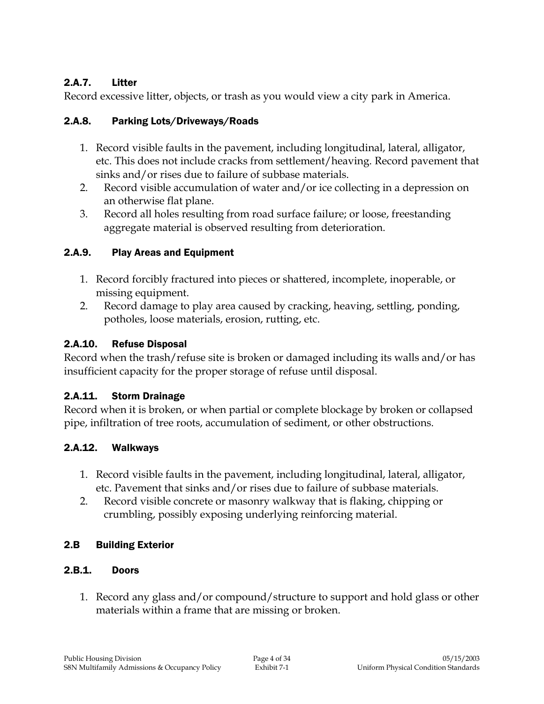### 2.A.7. Litter

Record excessive litter, objects, or trash as you would view a city park in America.

### 2.A.8. Parking Lots/Driveways/Roads

- 1. Record visible faults in the pavement, including longitudinal, lateral, alligator, etc. This does not include cracks from settlement/heaving. Record pavement that sinks and/or rises due to failure of subbase materials.
- 2. Record visible accumulation of water and/or ice collecting in a depression on an otherwise flat plane.
- 3. Record all holes resulting from road surface failure; or loose, freestanding aggregate material is observed resulting from deterioration.

### 2.A.9. Play Areas and Equipment

- 1. Record forcibly fractured into pieces or shattered, incomplete, inoperable, or missing equipment.
- 2. Record damage to play area caused by cracking, heaving, settling, ponding, potholes, loose materials, erosion, rutting, etc.

### 2.A.10. Refuse Disposal

Record when the trash/refuse site is broken or damaged including its walls and/or has insufficient capacity for the proper storage of refuse until disposal.

#### 2.A.11. Storm Drainage

Record when it is broken, or when partial or complete blockage by broken or collapsed pipe, infiltration of tree roots, accumulation of sediment, or other obstructions.

## 2.A.12. Walkways

- 1. Record visible faults in the pavement, including longitudinal, lateral, alligator, etc. Pavement that sinks and/or rises due to failure of subbase materials.
- 2. Record visible concrete or masonry walkway that is flaking, chipping or crumbling, possibly exposing underlying reinforcing material.

## 2.B Building Exterior

#### 2.B.1. Doors

1. Record any glass and/or compound/structure to support and hold glass or other materials within a frame that are missing or broken.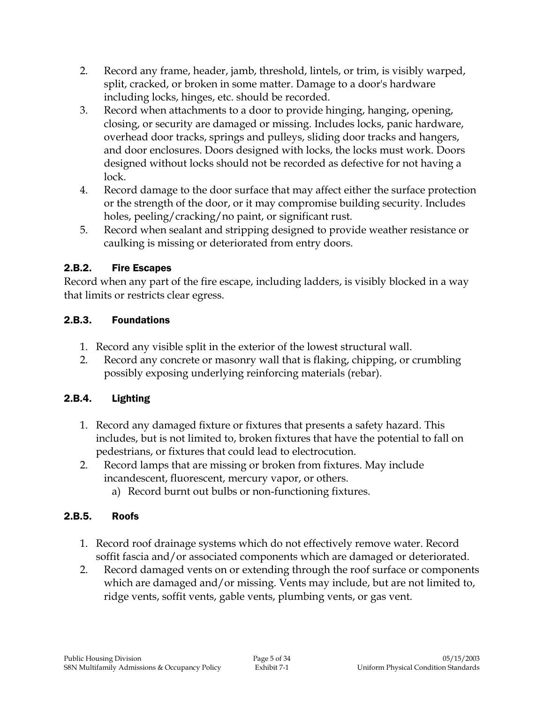- 2. Record any frame, header, jamb, threshold, lintels, or trim, is visibly warped, split, cracked, or broken in some matter. Damage to a door's hardware including locks, hinges, etc. should be recorded.
- 3. Record when attachments to a door to provide hinging, hanging, opening, closing, or security are damaged or missing. Includes locks, panic hardware, overhead door tracks, springs and pulleys, sliding door tracks and hangers, and door enclosures. Doors designed with locks, the locks must work. Doors designed without locks should not be recorded as defective for not having a lock.
- 4. Record damage to the door surface that may affect either the surface protection or the strength of the door, or it may compromise building security. Includes holes, peeling/cracking/no paint, or significant rust.
- 5. Record when sealant and stripping designed to provide weather resistance or caulking is missing or deteriorated from entry doors.

## 2.B.2. Fire Escapes

Record when any part of the fire escape, including ladders, is visibly blocked in a way that limits or restricts clear egress.

## 2.B.3. Foundations

- 1. Record any visible split in the exterior of the lowest structural wall.
- 2. Record any concrete or masonry wall that is flaking, chipping, or crumbling possibly exposing underlying reinforcing materials (rebar).

## 2.B.4. Lighting

- 1. Record any damaged fixture or fixtures that presents a safety hazard. This includes, but is not limited to, broken fixtures that have the potential to fall on pedestrians, or fixtures that could lead to electrocution.
- 2. Record lamps that are missing or broken from fixtures. May include incandescent, fluorescent, mercury vapor, or others.
	- a) Record burnt out bulbs or non-functioning fixtures.

## 2.B.5. Roofs

- 1. Record roof drainage systems which do not effectively remove water. Record soffit fascia and/or associated components which are damaged or deteriorated.
- 2. Record damaged vents on or extending through the roof surface or components which are damaged and/or missing. Vents may include, but are not limited to, ridge vents, soffit vents, gable vents, plumbing vents, or gas vent.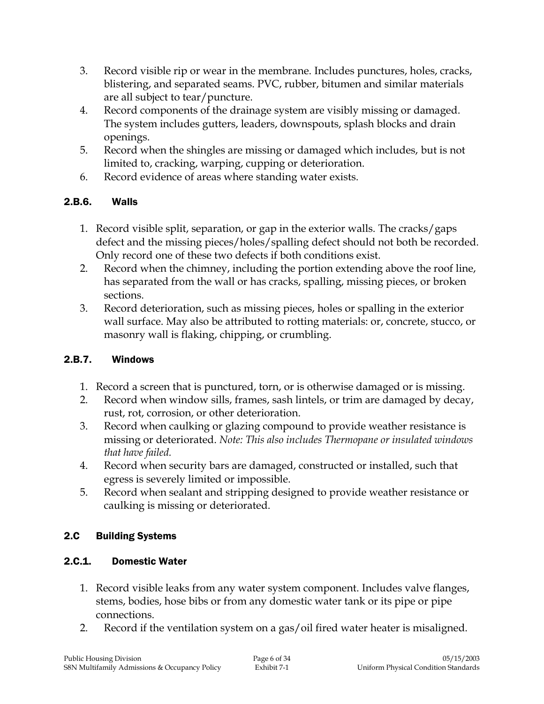- 3. Record visible rip or wear in the membrane. Includes punctures, holes, cracks, blistering, and separated seams. PVC, rubber, bitumen and similar materials are all subject to tear/puncture.
- 4. Record components of the drainage system are visibly missing or damaged. The system includes gutters, leaders, downspouts, splash blocks and drain openings.
- 5. Record when the shingles are missing or damaged which includes, but is not limited to, cracking, warping, cupping or deterioration.
- 6. Record evidence of areas where standing water exists.

## 2.B.6. Walls

- 1. Record visible split, separation, or gap in the exterior walls. The cracks/gaps defect and the missing pieces/holes/spalling defect should not both be recorded. Only record one of these two defects if both conditions exist.
- 2. Record when the chimney, including the portion extending above the roof line, has separated from the wall or has cracks, spalling, missing pieces, or broken sections.
- 3. Record deterioration, such as missing pieces, holes or spalling in the exterior wall surface. May also be attributed to rotting materials: or, concrete, stucco, or masonry wall is flaking, chipping, or crumbling.

## 2.B.7. Windows

- 1. Record a screen that is punctured, torn, or is otherwise damaged or is missing.
- 2. Record when window sills, frames, sash lintels, or trim are damaged by decay, rust, rot, corrosion, or other deterioration.
- 3. Record when caulking or glazing compound to provide weather resistance is missing or deteriorated. *Note: This also includes Thermopane or insulated windows that have failed.*
- 4. Record when security bars are damaged, constructed or installed, such that egress is severely limited or impossible.
- 5. Record when sealant and stripping designed to provide weather resistance or caulking is missing or deteriorated.

## 2.C Building Systems

## 2.C.1. Domestic Water

- 1. Record visible leaks from any water system component. Includes valve flanges, stems, bodies, hose bibs or from any domestic water tank or its pipe or pipe connections.
- 2. Record if the ventilation system on a gas/oil fired water heater is misaligned.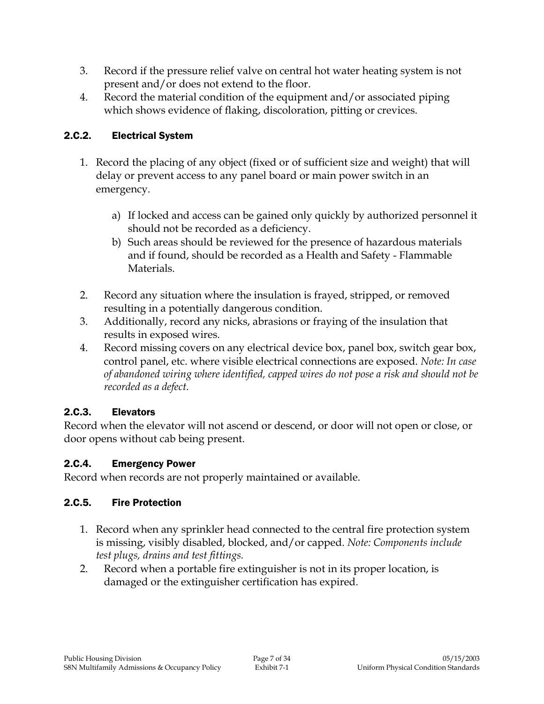- 3. Record if the pressure relief valve on central hot water heating system is not present and/or does not extend to the floor.
- 4. Record the material condition of the equipment and/or associated piping which shows evidence of flaking, discoloration, pitting or crevices.

## 2.C.2. Electrical System

- 1. Record the placing of any object (fixed or of sufficient size and weight) that will delay or prevent access to any panel board or main power switch in an emergency.
	- a) If locked and access can be gained only quickly by authorized personnel it should not be recorded as a deficiency.
	- b) Such areas should be reviewed for the presence of hazardous materials and if found, should be recorded as a Health and Safety - Flammable Materials.
- 2. Record any situation where the insulation is frayed, stripped, or removed resulting in a potentially dangerous condition.
- 3. Additionally, record any nicks, abrasions or fraying of the insulation that results in exposed wires.
- 4. Record missing covers on any electrical device box, panel box, switch gear box, control panel, etc. where visible electrical connections are exposed. *Note: In case of abandoned wiring where identified, capped wires do not pose a risk and should not be recorded as a defect.*

## 2.C.3. Elevators

Record when the elevator will not ascend or descend, or door will not open or close, or door opens without cab being present.

## 2.C.4. Emergency Power

Record when records are not properly maintained or available.

## 2.C.5. Fire Protection

- 1. Record when any sprinkler head connected to the central fire protection system is missing, visibly disabled, blocked, and/or capped. *Note: Components include test plugs, drains and test fittings.*
- 2. Record when a portable fire extinguisher is not in its proper location, is damaged or the extinguisher certification has expired.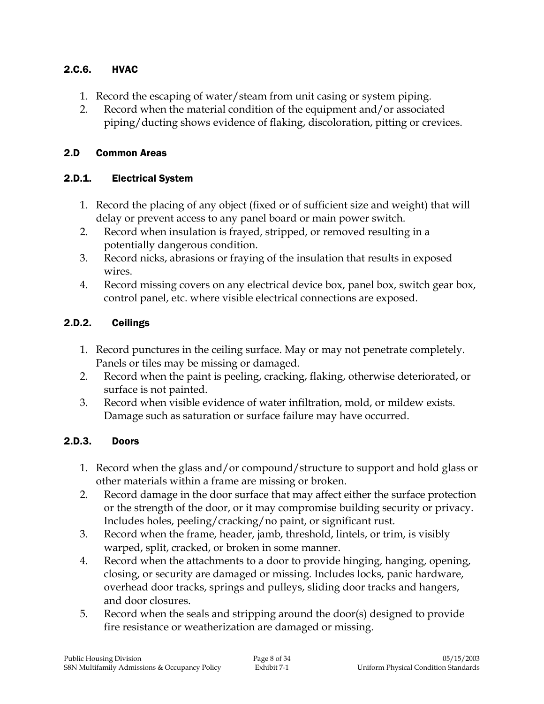### 2.C.6. HVAC

- 1. Record the escaping of water/steam from unit casing or system piping.
- 2. Record when the material condition of the equipment and/or associated piping/ducting shows evidence of flaking, discoloration, pitting or crevices.

#### 2.D Common Areas

### 2.D.1. Electrical System

- 1. Record the placing of any object (fixed or of sufficient size and weight) that will delay or prevent access to any panel board or main power switch.
- 2. Record when insulation is frayed, stripped, or removed resulting in a potentially dangerous condition.
- 3. Record nicks, abrasions or fraying of the insulation that results in exposed wires.
- 4. Record missing covers on any electrical device box, panel box, switch gear box, control panel, etc. where visible electrical connections are exposed.

## 2.D.2. Ceilings

- 1. Record punctures in the ceiling surface. May or may not penetrate completely. Panels or tiles may be missing or damaged.
- 2. Record when the paint is peeling, cracking, flaking, otherwise deteriorated, or surface is not painted.
- 3. Record when visible evidence of water infiltration, mold, or mildew exists. Damage such as saturation or surface failure may have occurred.

## 2.D.3. Doors

- 1. Record when the glass and/or compound/structure to support and hold glass or other materials within a frame are missing or broken.
- 2. Record damage in the door surface that may affect either the surface protection or the strength of the door, or it may compromise building security or privacy. Includes holes, peeling/cracking/no paint, or significant rust.
- 3. Record when the frame, header, jamb, threshold, lintels, or trim, is visibly warped, split, cracked, or broken in some manner.
- 4. Record when the attachments to a door to provide hinging, hanging, opening, closing, or security are damaged or missing. Includes locks, panic hardware, overhead door tracks, springs and pulleys, sliding door tracks and hangers, and door closures.
- 5. Record when the seals and stripping around the door(s) designed to provide fire resistance or weatherization are damaged or missing.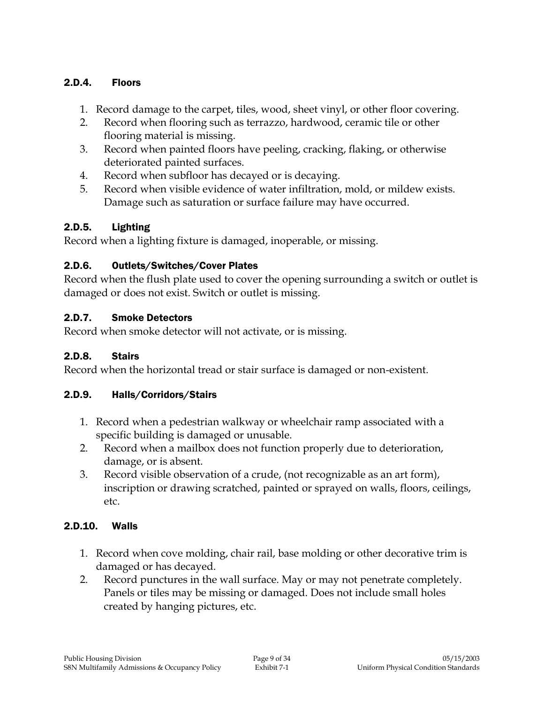### 2.D.4. Floors

- 1. Record damage to the carpet, tiles, wood, sheet vinyl, or other floor covering.
- 2. Record when flooring such as terrazzo, hardwood, ceramic tile or other flooring material is missing.
- 3. Record when painted floors have peeling, cracking, flaking, or otherwise deteriorated painted surfaces.
- 4. Record when subfloor has decayed or is decaying.
- 5. Record when visible evidence of water infiltration, mold, or mildew exists. Damage such as saturation or surface failure may have occurred.

### 2.D.5. Lighting

Record when a lighting fixture is damaged, inoperable, or missing.

### 2.D.6. Outlets/Switches/Cover Plates

Record when the flush plate used to cover the opening surrounding a switch or outlet is damaged or does not exist. Switch or outlet is missing.

### 2.D.7. Smoke Detectors

Record when smoke detector will not activate, or is missing.

## 2.D.8. Stairs

Record when the horizontal tread or stair surface is damaged or non-existent.

## 2.D.9. Halls/Corridors/Stairs

- 1. Record when a pedestrian walkway or wheelchair ramp associated with a specific building is damaged or unusable.
- 2. Record when a mailbox does not function properly due to deterioration, damage, or is absent.
- 3. Record visible observation of a crude, (not recognizable as an art form), inscription or drawing scratched, painted or sprayed on walls, floors, ceilings, etc.

## 2.D.10. Walls

- 1. Record when cove molding, chair rail, base molding or other decorative trim is damaged or has decayed.
- 2. Record punctures in the wall surface. May or may not penetrate completely. Panels or tiles may be missing or damaged. Does not include small holes created by hanging pictures, etc.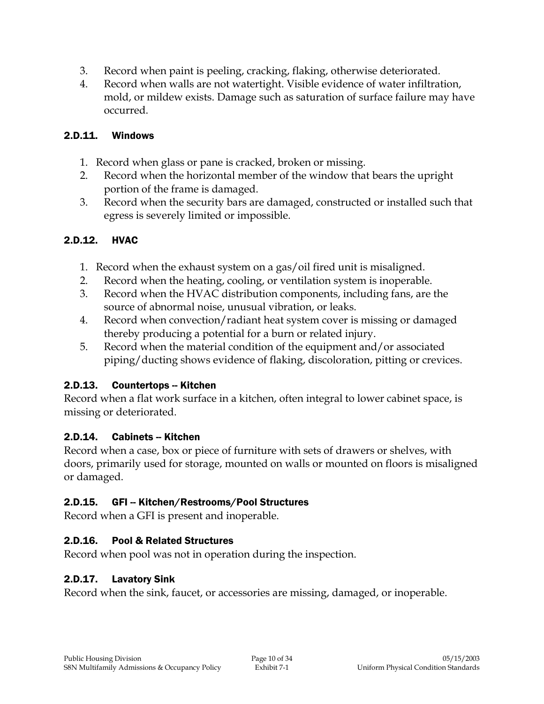- 3. Record when paint is peeling, cracking, flaking, otherwise deteriorated.
- 4. Record when walls are not watertight. Visible evidence of water infiltration, mold, or mildew exists. Damage such as saturation of surface failure may have occurred.

#### 2.D.11. Windows

- 1. Record when glass or pane is cracked, broken or missing.
- 2. Record when the horizontal member of the window that bears the upright portion of the frame is damaged.
- 3. Record when the security bars are damaged, constructed or installed such that egress is severely limited or impossible.

## 2.D.12. HVAC

- 1. Record when the exhaust system on a gas/oil fired unit is misaligned.
- 2. Record when the heating, cooling, or ventilation system is inoperable.
- 3. Record when the HVAC distribution components, including fans, are the source of abnormal noise, unusual vibration, or leaks.
- 4. Record when convection/radiant heat system cover is missing or damaged thereby producing a potential for a burn or related injury.
- 5. Record when the material condition of the equipment and/or associated piping/ducting shows evidence of flaking, discoloration, pitting or crevices.

## 2.D.13. Countertops -- Kitchen

Record when a flat work surface in a kitchen, often integral to lower cabinet space, is missing or deteriorated.

## 2.D.14. Cabinets -- Kitchen

Record when a case, box or piece of furniture with sets of drawers or shelves, with doors, primarily used for storage, mounted on walls or mounted on floors is misaligned or damaged.

## 2.D.15. GFI -- Kitchen/Restrooms/Pool Structures

Record when a GFI is present and inoperable.

## 2.D.16. Pool & Related Structures

Record when pool was not in operation during the inspection.

#### 2.D.17. Lavatory Sink

Record when the sink, faucet, or accessories are missing, damaged, or inoperable.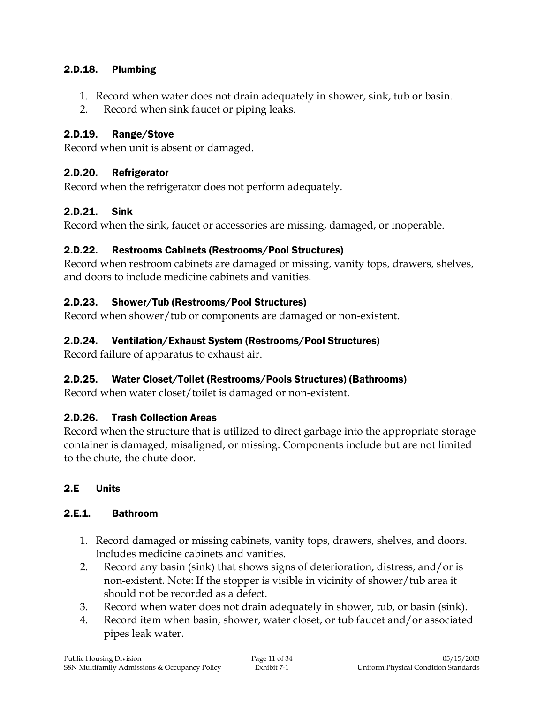#### 2.D.18. Plumbing

- 1. Record when water does not drain adequately in shower, sink, tub or basin.
- 2. Record when sink faucet or piping leaks.

### 2.D.19. Range/Stove

Record when unit is absent or damaged.

### 2.D.20. Refrigerator

Record when the refrigerator does not perform adequately.

## 2.D.21. Sink

Record when the sink, faucet or accessories are missing, damaged, or inoperable.

## 2.D.22. Restrooms Cabinets (Restrooms/Pool Structures)

Record when restroom cabinets are damaged or missing, vanity tops, drawers, shelves, and doors to include medicine cabinets and vanities.

## 2.D.23. Shower/Tub (Restrooms/Pool Structures)

Record when shower/tub or components are damaged or non-existent.

## 2.D.24. Ventilation/Exhaust System (Restrooms/Pool Structures)

Record failure of apparatus to exhaust air.

## 2.D.25. Water Closet/Toilet (Restrooms/Pools Structures) (Bathrooms)

Record when water closet/toilet is damaged or non-existent.

## 2.D.26. Trash Collection Areas

Record when the structure that is utilized to direct garbage into the appropriate storage container is damaged, misaligned, or missing. Components include but are not limited to the chute, the chute door.

## 2.E Units

## 2.E.1. Bathroom

- 1. Record damaged or missing cabinets, vanity tops, drawers, shelves, and doors. Includes medicine cabinets and vanities.
- 2. Record any basin (sink) that shows signs of deterioration, distress, and/or is non-existent. Note: If the stopper is visible in vicinity of shower/tub area it should not be recorded as a defect.
- 3. Record when water does not drain adequately in shower, tub, or basin (sink).
- 4. Record item when basin, shower, water closet, or tub faucet and/or associated pipes leak water.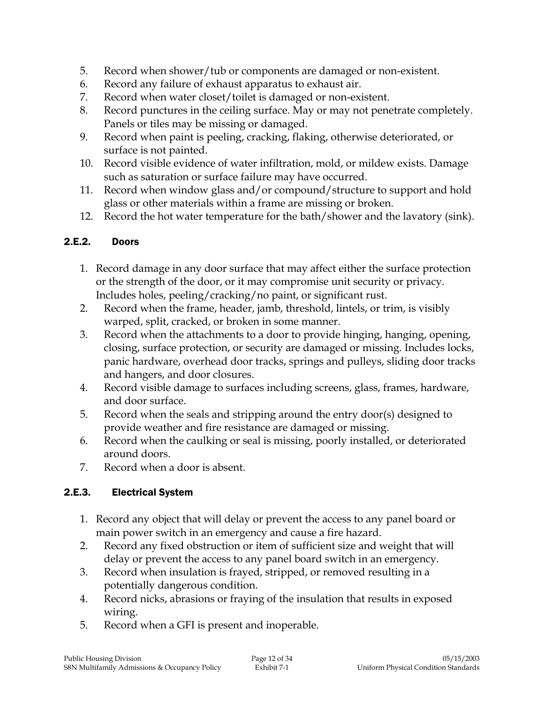- 5. Record when shower/tub or components are damaged or non-existent.
- 6. Record any failure of exhaust apparatus to exhaust air.
- 7. Record when water closet/toilet is damaged or non-existent.
- 8. Record punctures in the ceiling surface. May or may not penetrate completely. Panels or tiles may be missing or damaged.
- 9. Record when paint is peeling, cracking, flaking, otherwise deteriorated, or surface is not painted.
- 10. Record visible evidence of water infiltration, mold, or mildew exists. Damage such as saturation or surface failure may have occurred.
- 11. Record when window glass and/or compound/structure to support and hold glass or other materials within a frame are missing or broken.
- 12. Record the hot water temperature for the bath/shower and the lavatory (sink).

### 2.E.2. Doors

- 1. Record damage in any door surface that may affect either the surface protection or the strength of the door, or it may compromise unit security or privacy. Includes holes, peeling/cracking/no paint, or significant rust.
- 2. Record when the frame, header, jamb, threshold, lintels, or trim, is visibly warped, split, cracked, or broken in some manner.
- 3. Record when the attachments to a door to provide hinging, hanging, opening, closing, surface protection, or security are damaged or missing. Includes locks, panic hardware, overhead door tracks, springs and pulleys, sliding door tracks and hangers, and door closures.
- 4. Record visible damage to surfaces including screens, glass, frames, hardware, and door surface.
- 5. Record when the seals and stripping around the entry door(s) designed to provide weather and fire resistance are damaged or missing.
- 6. Record when the caulking or seal is missing, poorly installed, or deteriorated around doors.
- 7. Record when a door is absent.

## 2.E.3. Electrical System

- 1. Record any object that will delay or prevent the access to any panel board or main power switch in an emergency and cause a fire hazard.
- 2. Record any fixed obstruction or item of sufficient size and weight that will delay or prevent the access to any panel board switch in an emergency.
- 3. Record when insulation is frayed, stripped, or removed resulting in a potentially dangerous condition.
- 4. Record nicks, abrasions or fraying of the insulation that results in exposed wiring.
- 5. Record when a GFI is present and inoperable.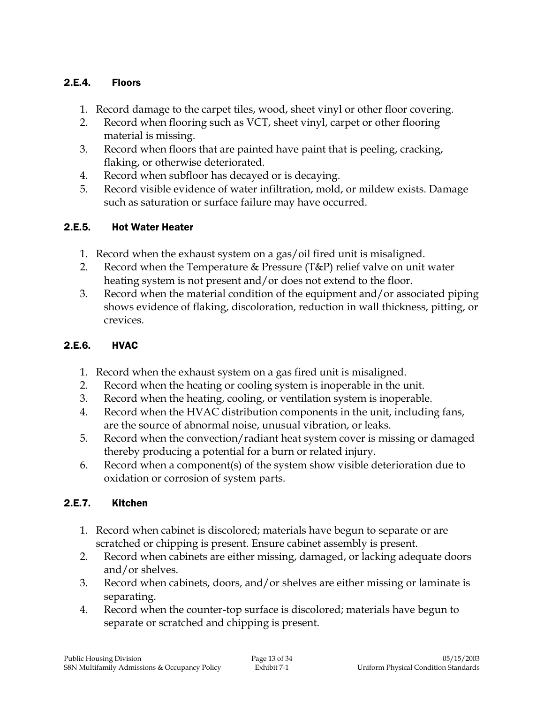### 2.E.4. Floors

- 1. Record damage to the carpet tiles, wood, sheet vinyl or other floor covering.
- 2. Record when flooring such as VCT, sheet vinyl, carpet or other flooring material is missing.
- 3. Record when floors that are painted have paint that is peeling, cracking, flaking, or otherwise deteriorated.
- 4. Record when subfloor has decayed or is decaying.
- 5. Record visible evidence of water infiltration, mold, or mildew exists. Damage such as saturation or surface failure may have occurred.

### 2.E.5. Hot Water Heater

- 1. Record when the exhaust system on a gas/oil fired unit is misaligned.
- 2. Record when the Temperature & Pressure  $(T&P)$  relief valve on unit water heating system is not present and/or does not extend to the floor.
- 3. Record when the material condition of the equipment and/or associated piping shows evidence of flaking, discoloration, reduction in wall thickness, pitting, or crevices.

## 2.E.6. HVAC

- 1. Record when the exhaust system on a gas fired unit is misaligned.
- 2. Record when the heating or cooling system is inoperable in the unit.
- 3. Record when the heating, cooling, or ventilation system is inoperable.
- 4. Record when the HVAC distribution components in the unit, including fans, are the source of abnormal noise, unusual vibration, or leaks.
- 5. Record when the convection/radiant heat system cover is missing or damaged thereby producing a potential for a burn or related injury.
- 6. Record when a component(s) of the system show visible deterioration due to oxidation or corrosion of system parts.

## 2.E.7. Kitchen

- 1. Record when cabinet is discolored; materials have begun to separate or are scratched or chipping is present. Ensure cabinet assembly is present.
- 2. Record when cabinets are either missing, damaged, or lacking adequate doors and/or shelves.
- 3. Record when cabinets, doors, and/or shelves are either missing or laminate is separating.
- 4. Record when the counter-top surface is discolored; materials have begun to separate or scratched and chipping is present.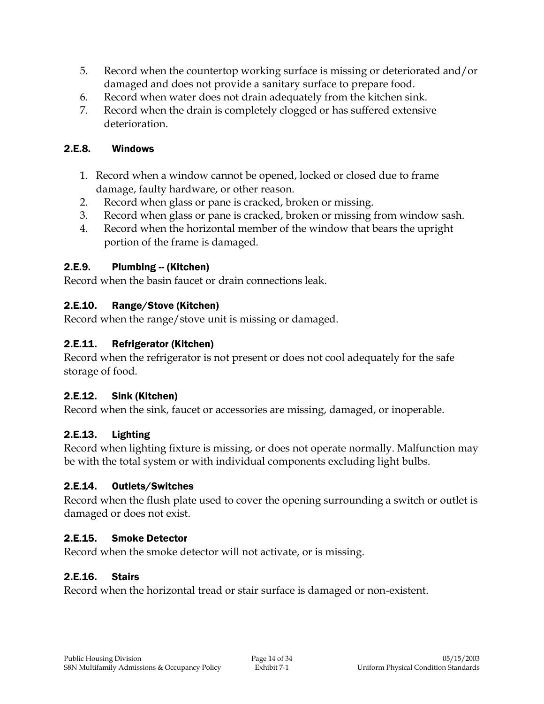- 5. Record when the countertop working surface is missing or deteriorated and/or damaged and does not provide a sanitary surface to prepare food.
- 6. Record when water does not drain adequately from the kitchen sink.
- 7. Record when the drain is completely clogged or has suffered extensive deterioration.

#### 2.E.8. Windows

- 1. Record when a window cannot be opened, locked or closed due to frame damage, faulty hardware, or other reason.
- 2. Record when glass or pane is cracked, broken or missing.
- 3. Record when glass or pane is cracked, broken or missing from window sash.
- 4. Record when the horizontal member of the window that bears the upright portion of the frame is damaged.

#### 2.E.9. Plumbing -- (Kitchen)

Record when the basin faucet or drain connections leak.

#### 2.E.10. Range/Stove (Kitchen)

Record when the range/stove unit is missing or damaged.

#### 2.E.11. Refrigerator (Kitchen)

Record when the refrigerator is not present or does not cool adequately for the safe storage of food.

#### 2.E.12. Sink (Kitchen)

Record when the sink, faucet or accessories are missing, damaged, or inoperable.

#### 2.E.13. Lighting

Record when lighting fixture is missing, or does not operate normally. Malfunction may be with the total system or with individual components excluding light bulbs.

#### 2.E.14. Outlets/Switches

Record when the flush plate used to cover the opening surrounding a switch or outlet is damaged or does not exist.

#### 2.E.15. Smoke Detector

Record when the smoke detector will not activate, or is missing.

#### 2.E.16. Stairs

Record when the horizontal tread or stair surface is damaged or non-existent.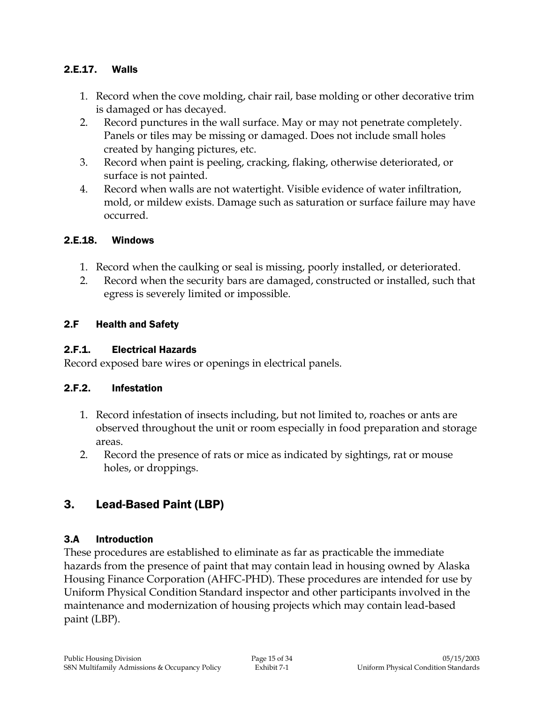#### 2.E.17. Walls

- 1. Record when the cove molding, chair rail, base molding or other decorative trim is damaged or has decayed.
- 2. Record punctures in the wall surface. May or may not penetrate completely. Panels or tiles may be missing or damaged. Does not include small holes created by hanging pictures, etc.
- 3. Record when paint is peeling, cracking, flaking, otherwise deteriorated, or surface is not painted.
- 4. Record when walls are not watertight. Visible evidence of water infiltration, mold, or mildew exists. Damage such as saturation or surface failure may have occurred.

### 2.E.18. Windows

- 1. Record when the caulking or seal is missing, poorly installed, or deteriorated.
- 2. Record when the security bars are damaged, constructed or installed, such that egress is severely limited or impossible.

### 2.F Health and Safety

### 2.F.1. Electrical Hazards

Record exposed bare wires or openings in electrical panels.

## 2.F.2. Infestation

- 1. Record infestation of insects including, but not limited to, roaches or ants are observed throughout the unit or room especially in food preparation and storage areas.
- 2. Record the presence of rats or mice as indicated by sightings, rat or mouse holes, or droppings.

## 3. Lead-Based Paint (LBP)

## 3.A Introduction

These procedures are established to eliminate as far as practicable the immediate hazards from the presence of paint that may contain lead in housing owned by Alaska Housing Finance Corporation (AHFC-PHD). These procedures are intended for use by Uniform Physical Condition Standard inspector and other participants involved in the maintenance and modernization of housing projects which may contain lead-based paint (LBP).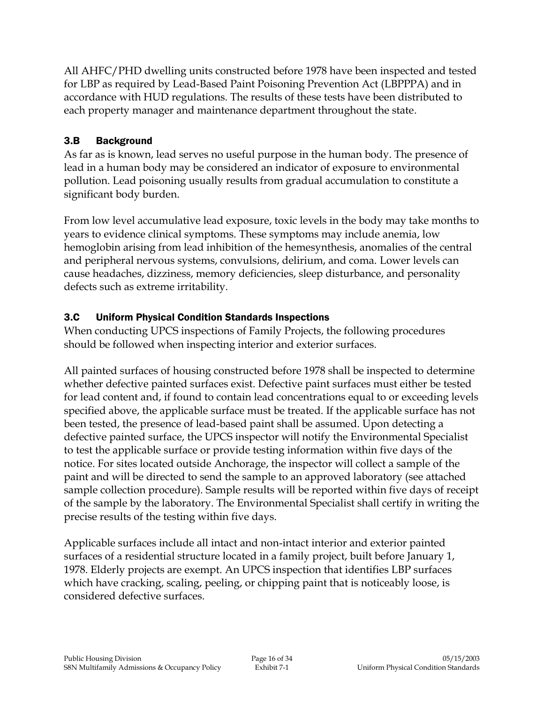All AHFC/PHD dwelling units constructed before 1978 have been inspected and tested for LBP as required by Lead-Based Paint Poisoning Prevention Act (LBPPPA) and in accordance with HUD regulations. The results of these tests have been distributed to each property manager and maintenance department throughout the state.

## 3.B Background

As far as is known, lead serves no useful purpose in the human body. The presence of lead in a human body may be considered an indicator of exposure to environmental pollution. Lead poisoning usually results from gradual accumulation to constitute a significant body burden.

From low level accumulative lead exposure, toxic levels in the body may take months to years to evidence clinical symptoms. These symptoms may include anemia, low hemoglobin arising from lead inhibition of the hemesynthesis, anomalies of the central and peripheral nervous systems, convulsions, delirium, and coma. Lower levels can cause headaches, dizziness, memory deficiencies, sleep disturbance, and personality defects such as extreme irritability.

## 3.C Uniform Physical Condition Standards Inspections

When conducting UPCS inspections of Family Projects, the following procedures should be followed when inspecting interior and exterior surfaces.

All painted surfaces of housing constructed before 1978 shall be inspected to determine whether defective painted surfaces exist. Defective paint surfaces must either be tested for lead content and, if found to contain lead concentrations equal to or exceeding levels specified above, the applicable surface must be treated. If the applicable surface has not been tested, the presence of lead-based paint shall be assumed. Upon detecting a defective painted surface, the UPCS inspector will notify the Environmental Specialist to test the applicable surface or provide testing information within five days of the notice. For sites located outside Anchorage, the inspector will collect a sample of the paint and will be directed to send the sample to an approved laboratory (see attached sample collection procedure). Sample results will be reported within five days of receipt of the sample by the laboratory. The Environmental Specialist shall certify in writing the precise results of the testing within five days.

Applicable surfaces include all intact and non-intact interior and exterior painted surfaces of a residential structure located in a family project, built before January 1, 1978. Elderly projects are exempt. An UPCS inspection that identifies LBP surfaces which have cracking, scaling, peeling, or chipping paint that is noticeably loose, is considered defective surfaces.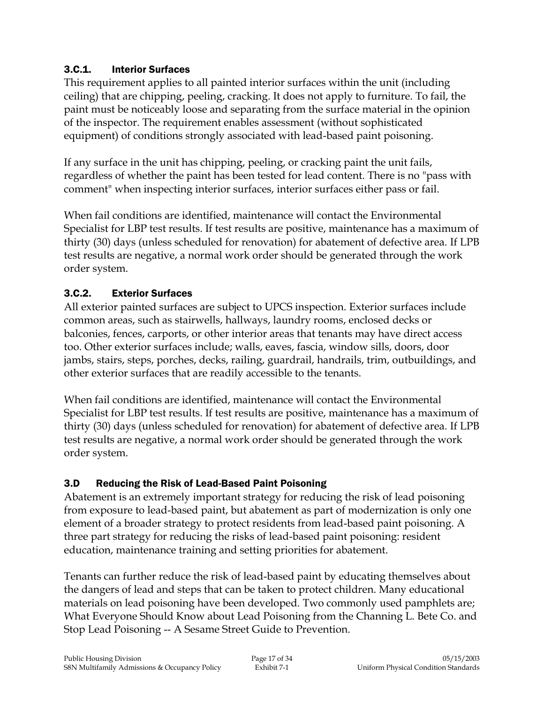### 3.C.1. Interior Surfaces

This requirement applies to all painted interior surfaces within the unit (including ceiling) that are chipping, peeling, cracking. It does not apply to furniture. To fail, the paint must be noticeably loose and separating from the surface material in the opinion of the inspector. The requirement enables assessment (without sophisticated equipment) of conditions strongly associated with lead-based paint poisoning.

If any surface in the unit has chipping, peeling, or cracking paint the unit fails, regardless of whether the paint has been tested for lead content. There is no "pass with comment" when inspecting interior surfaces, interior surfaces either pass or fail.

When fail conditions are identified, maintenance will contact the Environmental Specialist for LBP test results. If test results are positive, maintenance has a maximum of thirty (30) days (unless scheduled for renovation) for abatement of defective area. If LPB test results are negative, a normal work order should be generated through the work order system.

## 3.C.2. Exterior Surfaces

All exterior painted surfaces are subject to UPCS inspection. Exterior surfaces include common areas, such as stairwells, hallways, laundry rooms, enclosed decks or balconies, fences, carports, or other interior areas that tenants may have direct access too. Other exterior surfaces include; walls, eaves, fascia, window sills, doors, door jambs, stairs, steps, porches, decks, railing, guardrail, handrails, trim, outbuildings, and other exterior surfaces that are readily accessible to the tenants.

When fail conditions are identified, maintenance will contact the Environmental Specialist for LBP test results. If test results are positive, maintenance has a maximum of thirty (30) days (unless scheduled for renovation) for abatement of defective area. If LPB test results are negative, a normal work order should be generated through the work order system.

## 3.D Reducing the Risk of Lead-Based Paint Poisoning

Abatement is an extremely important strategy for reducing the risk of lead poisoning from exposure to lead-based paint, but abatement as part of modernization is only one element of a broader strategy to protect residents from lead-based paint poisoning. A three part strategy for reducing the risks of lead-based paint poisoning: resident education, maintenance training and setting priorities for abatement.

Tenants can further reduce the risk of lead-based paint by educating themselves about the dangers of lead and steps that can be taken to protect children. Many educational materials on lead poisoning have been developed. Two commonly used pamphlets are; What Everyone Should Know about Lead Poisoning from the Channing L. Bete Co. and Stop Lead Poisoning -- A Sesame Street Guide to Prevention.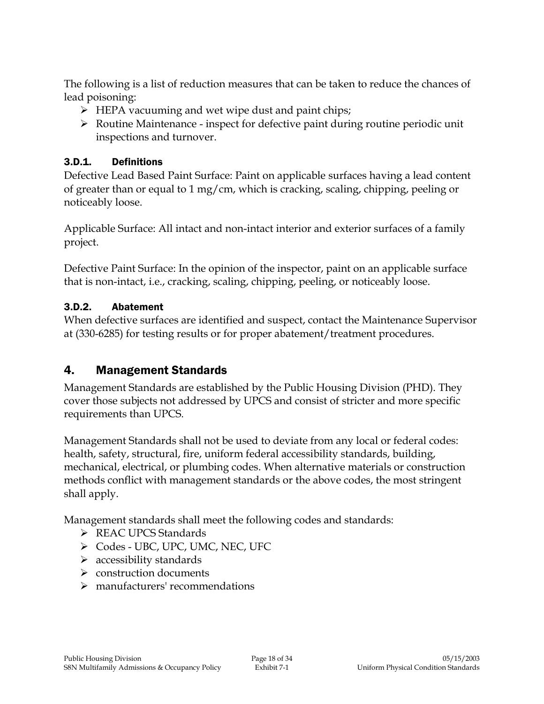The following is a list of reduction measures that can be taken to reduce the chances of lead poisoning:

- $\triangleright$  HEPA vacuuming and wet wipe dust and paint chips;
- $\triangleright$  Routine Maintenance inspect for defective paint during routine periodic unit inspections and turnover.

### 3.D.1. Definitions

Defective Lead Based Paint Surface: Paint on applicable surfaces having a lead content of greater than or equal to 1 mg/cm, which is cracking, scaling, chipping, peeling or noticeably loose.

Applicable Surface: All intact and non-intact interior and exterior surfaces of a family project.

Defective Paint Surface: In the opinion of the inspector, paint on an applicable surface that is non-intact, i.e., cracking, scaling, chipping, peeling, or noticeably loose.

### 3.D.2. Abatement

When defective surfaces are identified and suspect, contact the Maintenance Supervisor at (330-6285) for testing results or for proper abatement/treatment procedures.

## 4. Management Standards

Management Standards are established by the Public Housing Division (PHD). They cover those subjects not addressed by UPCS and consist of stricter and more specific requirements than UPCS.

Management Standards shall not be used to deviate from any local or federal codes: health, safety, structural, fire, uniform federal accessibility standards, building, mechanical, electrical, or plumbing codes. When alternative materials or construction methods conflict with management standards or the above codes, the most stringent shall apply.

Management standards shall meet the following codes and standards:

- REAC UPCS Standards
- Codes UBC, UPC, UMC, NEC, UFC
- $\triangleright$  accessibility standards
- $\triangleright$  construction documents
- $\triangleright$  manufacturers' recommendations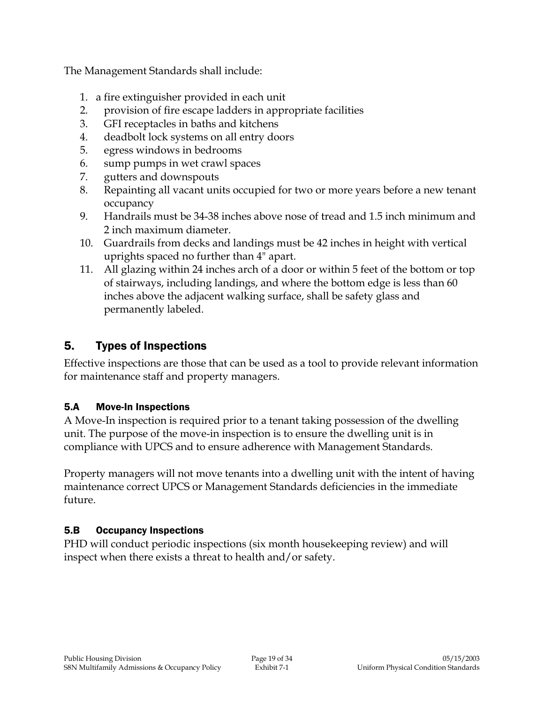The Management Standards shall include:

- 1. a fire extinguisher provided in each unit
- 2. provision of fire escape ladders in appropriate facilities
- 3. GFI receptacles in baths and kitchens
- 4. deadbolt lock systems on all entry doors
- 5. egress windows in bedrooms
- 6. sump pumps in wet crawl spaces
- 7. gutters and downspouts
- 8. Repainting all vacant units occupied for two or more years before a new tenant occupancy
- 9. Handrails must be 34-38 inches above nose of tread and 1.5 inch minimum and 2 inch maximum diameter.
- 10. Guardrails from decks and landings must be 42 inches in height with vertical uprights spaced no further than 4" apart.
- 11. All glazing within 24 inches arch of a door or within 5 feet of the bottom or top of stairways, including landings, and where the bottom edge is less than 60 inches above the adjacent walking surface, shall be safety glass and permanently labeled.

## 5. Types of Inspections

Effective inspections are those that can be used as a tool to provide relevant information for maintenance staff and property managers.

## 5.A Move-In Inspections

A Move-In inspection is required prior to a tenant taking possession of the dwelling unit. The purpose of the move-in inspection is to ensure the dwelling unit is in compliance with UPCS and to ensure adherence with Management Standards.

Property managers will not move tenants into a dwelling unit with the intent of having maintenance correct UPCS or Management Standards deficiencies in the immediate future.

## 5.B Occupancy Inspections

PHD will conduct periodic inspections (six month housekeeping review) and will inspect when there exists a threat to health and/or safety.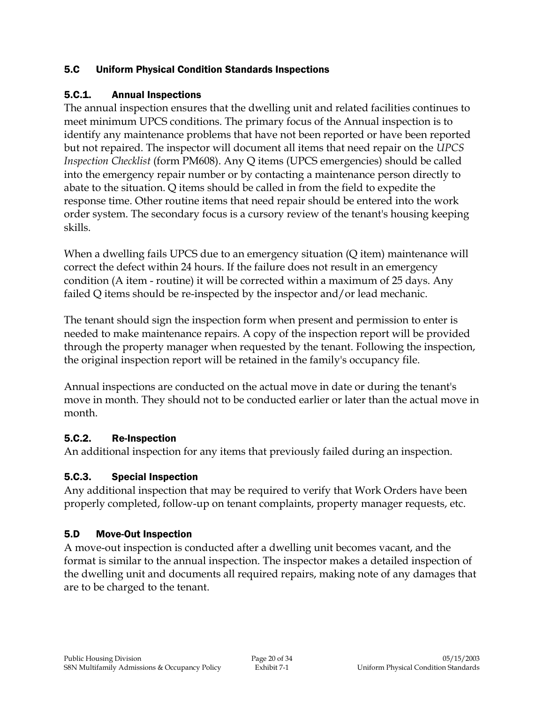### 5.C Uniform Physical Condition Standards Inspections

### 5.C.1. Annual Inspections

The annual inspection ensures that the dwelling unit and related facilities continues to meet minimum UPCS conditions. The primary focus of the Annual inspection is to identify any maintenance problems that have not been reported or have been reported but not repaired. The inspector will document all items that need repair on the *UPCS Inspection Checklist* (form PM608). Any Q items (UPCS emergencies) should be called into the emergency repair number or by contacting a maintenance person directly to abate to the situation. Q items should be called in from the field to expedite the response time. Other routine items that need repair should be entered into the work order system. The secondary focus is a cursory review of the tenant's housing keeping skills.

When a dwelling fails UPCS due to an emergency situation (Q item) maintenance will correct the defect within 24 hours. If the failure does not result in an emergency condition (A item - routine) it will be corrected within a maximum of 25 days. Any failed Q items should be re-inspected by the inspector and/or lead mechanic.

The tenant should sign the inspection form when present and permission to enter is needed to make maintenance repairs. A copy of the inspection report will be provided through the property manager when requested by the tenant. Following the inspection, the original inspection report will be retained in the family's occupancy file.

Annual inspections are conducted on the actual move in date or during the tenant's move in month. They should not to be conducted earlier or later than the actual move in month.

## 5.C.2. Re-Inspection

An additional inspection for any items that previously failed during an inspection.

## 5.C.3. Special Inspection

Any additional inspection that may be required to verify that Work Orders have been properly completed, follow-up on tenant complaints, property manager requests, etc.

## 5.D Move-Out Inspection

A move-out inspection is conducted after a dwelling unit becomes vacant, and the format is similar to the annual inspection. The inspector makes a detailed inspection of the dwelling unit and documents all required repairs, making note of any damages that are to be charged to the tenant.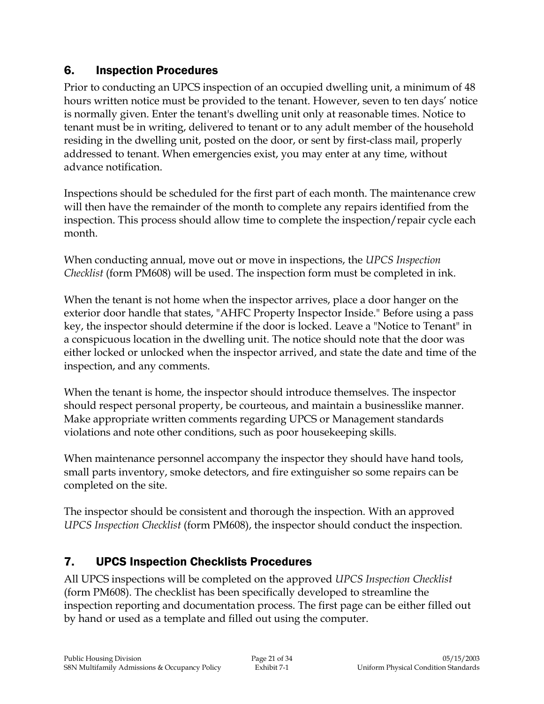## 6. Inspection Procedures

Prior to conducting an UPCS inspection of an occupied dwelling unit, a minimum of 48 hours written notice must be provided to the tenant. However, seven to ten days' notice is normally given. Enter the tenant's dwelling unit only at reasonable times. Notice to tenant must be in writing, delivered to tenant or to any adult member of the household residing in the dwelling unit, posted on the door, or sent by first-class mail, properly addressed to tenant. When emergencies exist, you may enter at any time, without advance notification.

Inspections should be scheduled for the first part of each month. The maintenance crew will then have the remainder of the month to complete any repairs identified from the inspection. This process should allow time to complete the inspection/repair cycle each month.

When conducting annual, move out or move in inspections, the *UPCS Inspection Checklist* (form PM608) will be used. The inspection form must be completed in ink.

When the tenant is not home when the inspector arrives, place a door hanger on the exterior door handle that states, "AHFC Property Inspector Inside." Before using a pass key, the inspector should determine if the door is locked. Leave a "Notice to Tenant" in a conspicuous location in the dwelling unit. The notice should note that the door was either locked or unlocked when the inspector arrived, and state the date and time of the inspection, and any comments.

When the tenant is home, the inspector should introduce themselves. The inspector should respect personal property, be courteous, and maintain a businesslike manner. Make appropriate written comments regarding UPCS or Management standards violations and note other conditions, such as poor housekeeping skills.

When maintenance personnel accompany the inspector they should have hand tools, small parts inventory, smoke detectors, and fire extinguisher so some repairs can be completed on the site.

The inspector should be consistent and thorough the inspection. With an approved *UPCS Inspection Checklist* (form PM608), the inspector should conduct the inspection.

## 7. UPCS Inspection Checklists Procedures

All UPCS inspections will be completed on the approved *UPCS Inspection Checklist* (form PM608). The checklist has been specifically developed to streamline the inspection reporting and documentation process. The first page can be either filled out by hand or used as a template and filled out using the computer.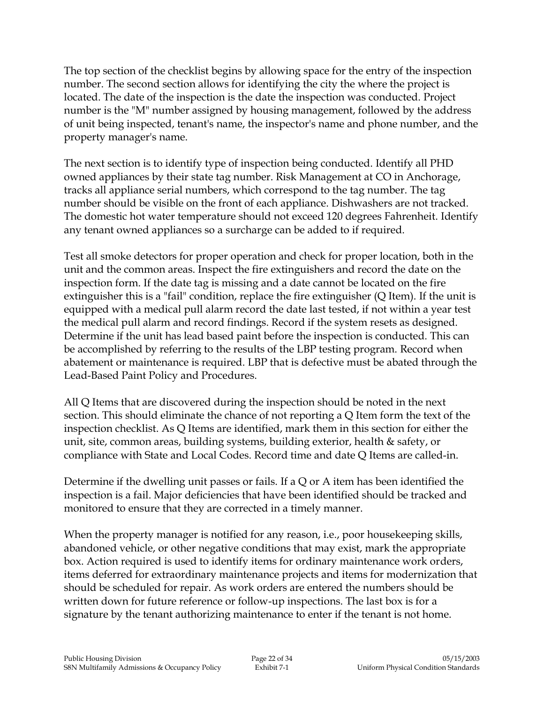The top section of the checklist begins by allowing space for the entry of the inspection number. The second section allows for identifying the city the where the project is located. The date of the inspection is the date the inspection was conducted. Project number is the "M" number assigned by housing management, followed by the address of unit being inspected, tenant's name, the inspector's name and phone number, and the property manager's name.

The next section is to identify type of inspection being conducted. Identify all PHD owned appliances by their state tag number. Risk Management at CO in Anchorage, tracks all appliance serial numbers, which correspond to the tag number. The tag number should be visible on the front of each appliance. Dishwashers are not tracked. The domestic hot water temperature should not exceed 120 degrees Fahrenheit. Identify any tenant owned appliances so a surcharge can be added to if required.

Test all smoke detectors for proper operation and check for proper location, both in the unit and the common areas. Inspect the fire extinguishers and record the date on the inspection form. If the date tag is missing and a date cannot be located on the fire extinguisher this is a "fail" condition, replace the fire extinguisher (Q Item). If the unit is equipped with a medical pull alarm record the date last tested, if not within a year test the medical pull alarm and record findings. Record if the system resets as designed. Determine if the unit has lead based paint before the inspection is conducted. This can be accomplished by referring to the results of the LBP testing program. Record when abatement or maintenance is required. LBP that is defective must be abated through the Lead-Based Paint Policy and Procedures.

All Q Items that are discovered during the inspection should be noted in the next section. This should eliminate the chance of not reporting a Q Item form the text of the inspection checklist. As Q Items are identified, mark them in this section for either the unit, site, common areas, building systems, building exterior, health & safety, or compliance with State and Local Codes. Record time and date Q Items are called-in.

Determine if the dwelling unit passes or fails. If a Q or A item has been identified the inspection is a fail. Major deficiencies that have been identified should be tracked and monitored to ensure that they are corrected in a timely manner.

When the property manager is notified for any reason, i.e., poor housekeeping skills, abandoned vehicle, or other negative conditions that may exist, mark the appropriate box. Action required is used to identify items for ordinary maintenance work orders, items deferred for extraordinary maintenance projects and items for modernization that should be scheduled for repair. As work orders are entered the numbers should be written down for future reference or follow-up inspections. The last box is for a signature by the tenant authorizing maintenance to enter if the tenant is not home.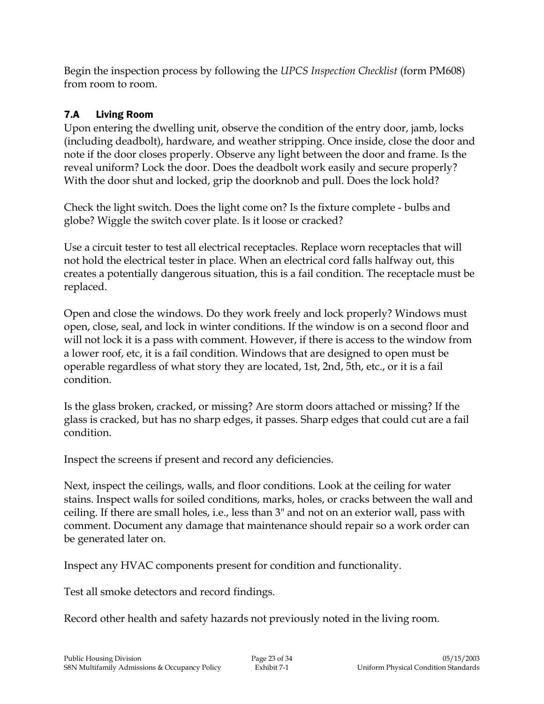Begin the inspection process by following the *UPCS Inspection Checklist* (form PM608) from room to room.

## 7.A Living Room

Upon entering the dwelling unit, observe the condition of the entry door, jamb, locks (including deadbolt), hardware, and weather stripping. Once inside, close the door and note if the door closes properly. Observe any light between the door and frame. Is the reveal uniform? Lock the door. Does the deadbolt work easily and secure properly? With the door shut and locked, grip the doorknob and pull. Does the lock hold?

Check the light switch. Does the light come on? Is the fixture complete - bulbs and globe? Wiggle the switch cover plate. Is it loose or cracked?

Use a circuit tester to test all electrical receptacles. Replace worn receptacles that will not hold the electrical tester in place. When an electrical cord falls halfway out, this creates a potentially dangerous situation, this is a fail condition. The receptacle must be replaced.

Open and close the windows. Do they work freely and lock properly? Windows must open, close, seal, and lock in winter conditions. If the window is on a second floor and will not lock it is a pass with comment. However, if there is access to the window from a lower roof, etc, it is a fail condition. Windows that are designed to open must be operable regardless of what story they are located, 1st, 2nd, 5th, etc., or it is a fail condition.

Is the glass broken, cracked, or missing? Are storm doors attached or missing? If the glass is cracked, but has no sharp edges, it passes. Sharp edges that could cut are a fail condition.

Inspect the screens if present and record any deficiencies.

Next, inspect the ceilings, walls, and floor conditions. Look at the ceiling for water stains. Inspect walls for soiled conditions, marks, holes, or cracks between the wall and ceiling. If there are small holes, i.e., less than 3" and not on an exterior wall, pass with comment. Document any damage that maintenance should repair so a work order can be generated later on.

Inspect any HVAC components present for condition and functionality.

Test all smoke detectors and record findings.

Record other health and safety hazards not previously noted in the living room.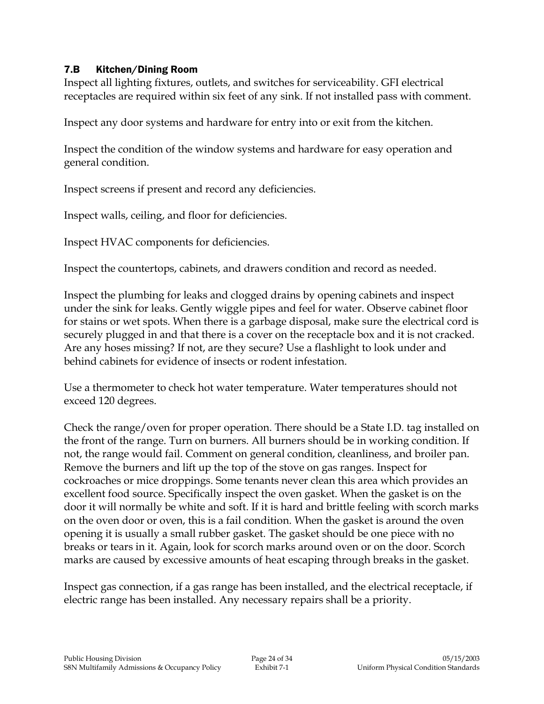#### 7.B Kitchen/Dining Room

Inspect all lighting fixtures, outlets, and switches for serviceability. GFI electrical receptacles are required within six feet of any sink. If not installed pass with comment.

Inspect any door systems and hardware for entry into or exit from the kitchen.

Inspect the condition of the window systems and hardware for easy operation and general condition.

Inspect screens if present and record any deficiencies.

Inspect walls, ceiling, and floor for deficiencies.

Inspect HVAC components for deficiencies.

Inspect the countertops, cabinets, and drawers condition and record as needed.

Inspect the plumbing for leaks and clogged drains by opening cabinets and inspect under the sink for leaks. Gently wiggle pipes and feel for water. Observe cabinet floor for stains or wet spots. When there is a garbage disposal, make sure the electrical cord is securely plugged in and that there is a cover on the receptacle box and it is not cracked. Are any hoses missing? If not, are they secure? Use a flashlight to look under and behind cabinets for evidence of insects or rodent infestation.

Use a thermometer to check hot water temperature. Water temperatures should not exceed 120 degrees.

Check the range/oven for proper operation. There should be a State I.D. tag installed on the front of the range. Turn on burners. All burners should be in working condition. If not, the range would fail. Comment on general condition, cleanliness, and broiler pan. Remove the burners and lift up the top of the stove on gas ranges. Inspect for cockroaches or mice droppings. Some tenants never clean this area which provides an excellent food source. Specifically inspect the oven gasket. When the gasket is on the door it will normally be white and soft. If it is hard and brittle feeling with scorch marks on the oven door or oven, this is a fail condition. When the gasket is around the oven opening it is usually a small rubber gasket. The gasket should be one piece with no breaks or tears in it. Again, look for scorch marks around oven or on the door. Scorch marks are caused by excessive amounts of heat escaping through breaks in the gasket.

Inspect gas connection, if a gas range has been installed, and the electrical receptacle, if electric range has been installed. Any necessary repairs shall be a priority.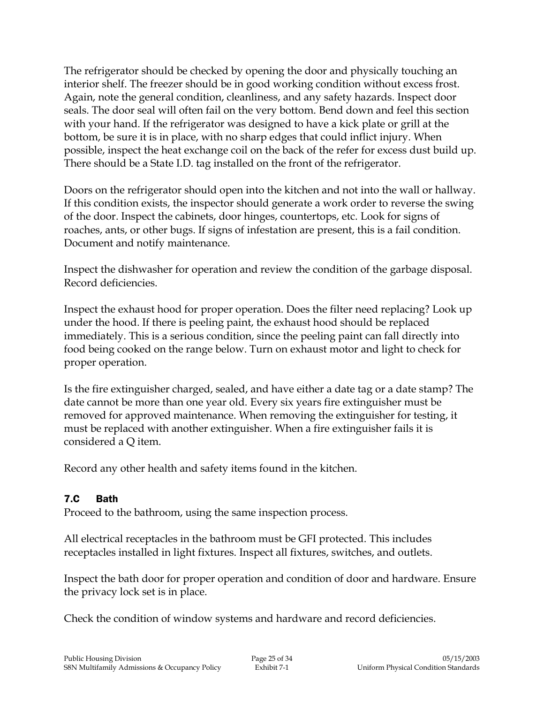The refrigerator should be checked by opening the door and physically touching an interior shelf. The freezer should be in good working condition without excess frost. Again, note the general condition, cleanliness, and any safety hazards. Inspect door seals. The door seal will often fail on the very bottom. Bend down and feel this section with your hand. If the refrigerator was designed to have a kick plate or grill at the bottom, be sure it is in place, with no sharp edges that could inflict injury. When possible, inspect the heat exchange coil on the back of the refer for excess dust build up. There should be a State I.D. tag installed on the front of the refrigerator.

Doors on the refrigerator should open into the kitchen and not into the wall or hallway. If this condition exists, the inspector should generate a work order to reverse the swing of the door. Inspect the cabinets, door hinges, countertops, etc. Look for signs of roaches, ants, or other bugs. If signs of infestation are present, this is a fail condition. Document and notify maintenance.

Inspect the dishwasher for operation and review the condition of the garbage disposal. Record deficiencies.

Inspect the exhaust hood for proper operation. Does the filter need replacing? Look up under the hood. If there is peeling paint, the exhaust hood should be replaced immediately. This is a serious condition, since the peeling paint can fall directly into food being cooked on the range below. Turn on exhaust motor and light to check for proper operation.

Is the fire extinguisher charged, sealed, and have either a date tag or a date stamp? The date cannot be more than one year old. Every six years fire extinguisher must be removed for approved maintenance. When removing the extinguisher for testing, it must be replaced with another extinguisher. When a fire extinguisher fails it is considered a Q item.

Record any other health and safety items found in the kitchen.

## 7.C Bath

Proceed to the bathroom, using the same inspection process.

All electrical receptacles in the bathroom must be GFI protected. This includes receptacles installed in light fixtures. Inspect all fixtures, switches, and outlets.

Inspect the bath door for proper operation and condition of door and hardware. Ensure the privacy lock set is in place.

Check the condition of window systems and hardware and record deficiencies.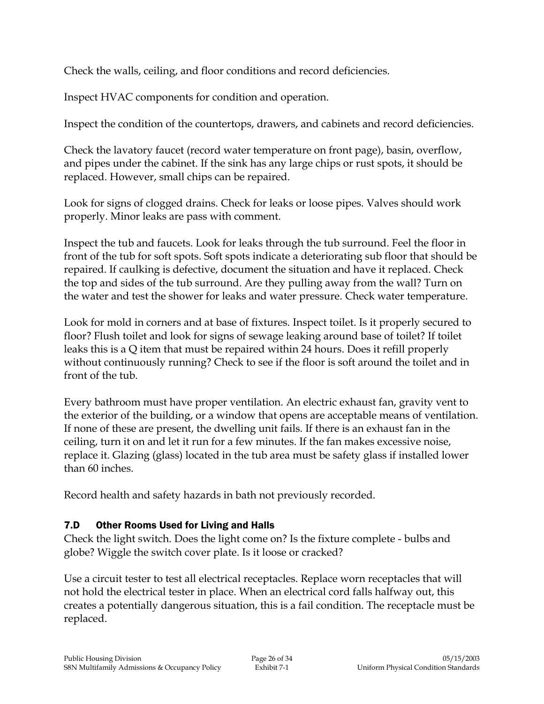Check the walls, ceiling, and floor conditions and record deficiencies.

Inspect HVAC components for condition and operation.

Inspect the condition of the countertops, drawers, and cabinets and record deficiencies.

Check the lavatory faucet (record water temperature on front page), basin, overflow, and pipes under the cabinet. If the sink has any large chips or rust spots, it should be replaced. However, small chips can be repaired.

Look for signs of clogged drains. Check for leaks or loose pipes. Valves should work properly. Minor leaks are pass with comment.

Inspect the tub and faucets. Look for leaks through the tub surround. Feel the floor in front of the tub for soft spots. Soft spots indicate a deteriorating sub floor that should be repaired. If caulking is defective, document the situation and have it replaced. Check the top and sides of the tub surround. Are they pulling away from the wall? Turn on the water and test the shower for leaks and water pressure. Check water temperature.

Look for mold in corners and at base of fixtures. Inspect toilet. Is it properly secured to floor? Flush toilet and look for signs of sewage leaking around base of toilet? If toilet leaks this is a Q item that must be repaired within 24 hours. Does it refill properly without continuously running? Check to see if the floor is soft around the toilet and in front of the tub.

Every bathroom must have proper ventilation. An electric exhaust fan, gravity vent to the exterior of the building, or a window that opens are acceptable means of ventilation. If none of these are present, the dwelling unit fails. If there is an exhaust fan in the ceiling, turn it on and let it run for a few minutes. If the fan makes excessive noise, replace it. Glazing (glass) located in the tub area must be safety glass if installed lower than 60 inches.

Record health and safety hazards in bath not previously recorded.

## 7.D Other Rooms Used for Living and Halls

Check the light switch. Does the light come on? Is the fixture complete - bulbs and globe? Wiggle the switch cover plate. Is it loose or cracked?

Use a circuit tester to test all electrical receptacles. Replace worn receptacles that will not hold the electrical tester in place. When an electrical cord falls halfway out, this creates a potentially dangerous situation, this is a fail condition. The receptacle must be replaced.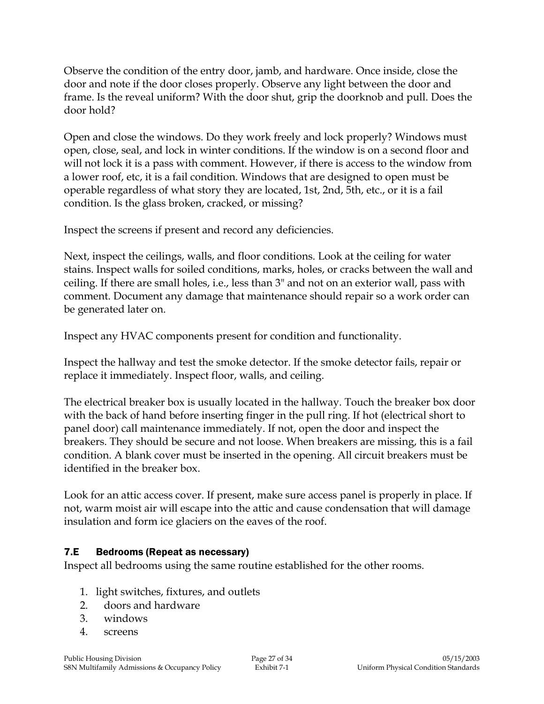Observe the condition of the entry door, jamb, and hardware. Once inside, close the door and note if the door closes properly. Observe any light between the door and frame. Is the reveal uniform? With the door shut, grip the doorknob and pull. Does the door hold?

Open and close the windows. Do they work freely and lock properly? Windows must open, close, seal, and lock in winter conditions. If the window is on a second floor and will not lock it is a pass with comment. However, if there is access to the window from a lower roof, etc, it is a fail condition. Windows that are designed to open must be operable regardless of what story they are located, 1st, 2nd, 5th, etc., or it is a fail condition. Is the glass broken, cracked, or missing?

Inspect the screens if present and record any deficiencies.

Next, inspect the ceilings, walls, and floor conditions. Look at the ceiling for water stains. Inspect walls for soiled conditions, marks, holes, or cracks between the wall and ceiling. If there are small holes, i.e., less than 3" and not on an exterior wall, pass with comment. Document any damage that maintenance should repair so a work order can be generated later on.

Inspect any HVAC components present for condition and functionality.

Inspect the hallway and test the smoke detector. If the smoke detector fails, repair or replace it immediately. Inspect floor, walls, and ceiling.

The electrical breaker box is usually located in the hallway. Touch the breaker box door with the back of hand before inserting finger in the pull ring. If hot (electrical short to panel door) call maintenance immediately. If not, open the door and inspect the breakers. They should be secure and not loose. When breakers are missing, this is a fail condition. A blank cover must be inserted in the opening. All circuit breakers must be identified in the breaker box.

Look for an attic access cover. If present, make sure access panel is properly in place. If not, warm moist air will escape into the attic and cause condensation that will damage insulation and form ice glaciers on the eaves of the roof.

#### 7.E Bedrooms (Repeat as necessary)

Inspect all bedrooms using the same routine established for the other rooms.

- 1. light switches, fixtures, and outlets
- 2. doors and hardware
- 3. windows
- 4. screens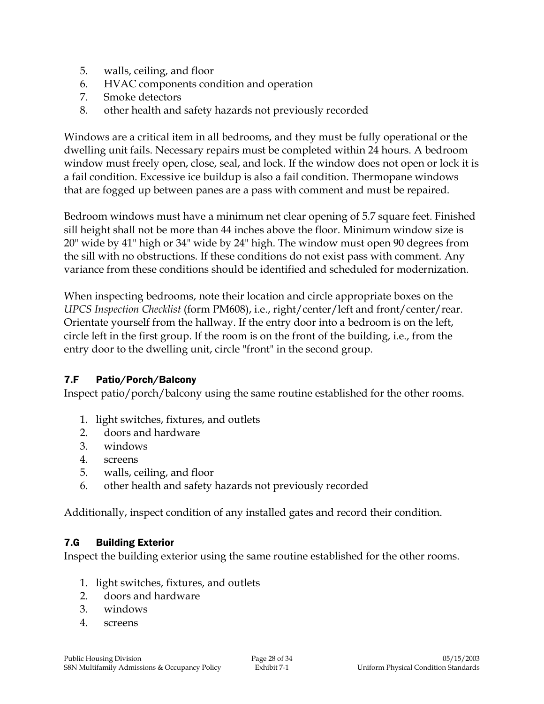- 5. walls, ceiling, and floor
- 6. HVAC components condition and operation
- 7. Smoke detectors
- 8. other health and safety hazards not previously recorded

Windows are a critical item in all bedrooms, and they must be fully operational or the dwelling unit fails. Necessary repairs must be completed within 24 hours. A bedroom window must freely open, close, seal, and lock. If the window does not open or lock it is a fail condition. Excessive ice buildup is also a fail condition. Thermopane windows that are fogged up between panes are a pass with comment and must be repaired.

Bedroom windows must have a minimum net clear opening of 5.7 square feet. Finished sill height shall not be more than 44 inches above the floor. Minimum window size is 20" wide by 41" high or 34" wide by 24" high. The window must open 90 degrees from the sill with no obstructions. If these conditions do not exist pass with comment. Any variance from these conditions should be identified and scheduled for modernization.

When inspecting bedrooms, note their location and circle appropriate boxes on the *UPCS Inspection Checklist* (form PM608), i.e., right/center/left and front/center/rear. Orientate yourself from the hallway. If the entry door into a bedroom is on the left, circle left in the first group. If the room is on the front of the building, i.e., from the entry door to the dwelling unit, circle "front" in the second group.

#### 7.F Patio/Porch/Balcony

Inspect patio/porch/balcony using the same routine established for the other rooms.

- 1. light switches, fixtures, and outlets
- 2. doors and hardware
- 3. windows
- 4. screens
- 5. walls, ceiling, and floor
- 6. other health and safety hazards not previously recorded

Additionally, inspect condition of any installed gates and record their condition.

#### 7.G Building Exterior

Inspect the building exterior using the same routine established for the other rooms.

- 1. light switches, fixtures, and outlets
- 2. doors and hardware
- 3. windows
- 4. screens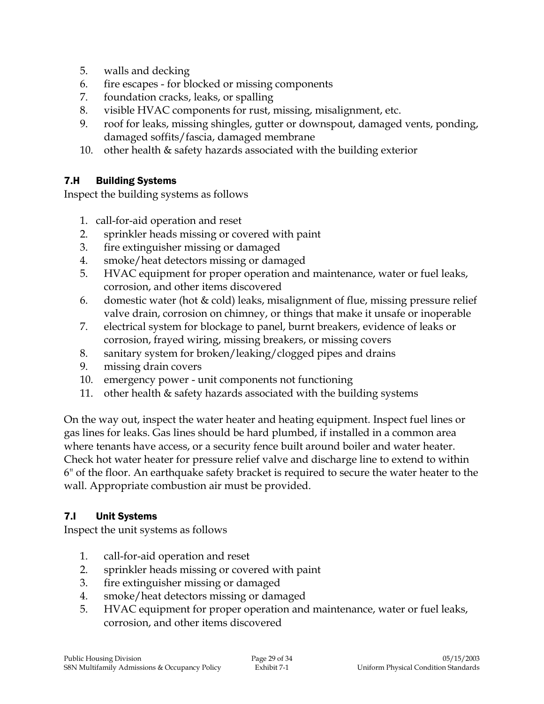- 5. walls and decking
- 6. fire escapes for blocked or missing components
- 7. foundation cracks, leaks, or spalling
- 8. visible HVAC components for rust, missing, misalignment, etc.
- 9. roof for leaks, missing shingles, gutter or downspout, damaged vents, ponding, damaged soffits/fascia, damaged membrane
- 10. other health & safety hazards associated with the building exterior

### 7.H Building Systems

Inspect the building systems as follows

- 1. call-for-aid operation and reset
- 2. sprinkler heads missing or covered with paint
- 3. fire extinguisher missing or damaged
- 4. smoke/heat detectors missing or damaged
- 5. HVAC equipment for proper operation and maintenance, water or fuel leaks, corrosion, and other items discovered
- 6. domestic water (hot  $\&$  cold) leaks, misalignment of flue, missing pressure relief valve drain, corrosion on chimney, or things that make it unsafe or inoperable
- 7. electrical system for blockage to panel, burnt breakers, evidence of leaks or corrosion, frayed wiring, missing breakers, or missing covers
- 8. sanitary system for broken/leaking/clogged pipes and drains
- 9. missing drain covers
- 10. emergency power unit components not functioning
- 11. other health & safety hazards associated with the building systems

On the way out, inspect the water heater and heating equipment. Inspect fuel lines or gas lines for leaks. Gas lines should be hard plumbed, if installed in a common area where tenants have access, or a security fence built around boiler and water heater. Check hot water heater for pressure relief valve and discharge line to extend to within 6" of the floor. An earthquake safety bracket is required to secure the water heater to the wall. Appropriate combustion air must be provided.

#### 7.I Unit Systems

Inspect the unit systems as follows

- 1. call-for-aid operation and reset
- 2. sprinkler heads missing or covered with paint
- 3. fire extinguisher missing or damaged
- 4. smoke/heat detectors missing or damaged
- 5. HVAC equipment for proper operation and maintenance, water or fuel leaks, corrosion, and other items discovered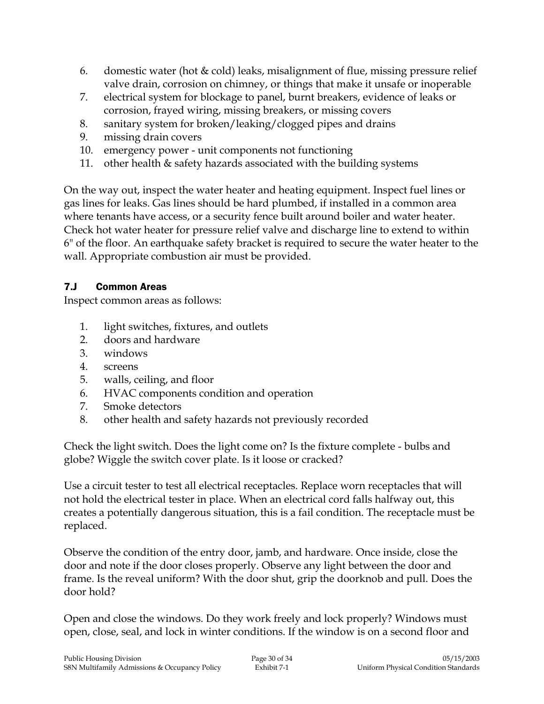- 6. domestic water (hot  $\&$  cold) leaks, misalignment of flue, missing pressure relief valve drain, corrosion on chimney, or things that make it unsafe or inoperable
- 7. electrical system for blockage to panel, burnt breakers, evidence of leaks or corrosion, frayed wiring, missing breakers, or missing covers
- 8. sanitary system for broken/leaking/clogged pipes and drains
- 9. missing drain covers
- 10. emergency power unit components not functioning
- 11. other health & safety hazards associated with the building systems

On the way out, inspect the water heater and heating equipment. Inspect fuel lines or gas lines for leaks. Gas lines should be hard plumbed, if installed in a common area where tenants have access, or a security fence built around boiler and water heater. Check hot water heater for pressure relief valve and discharge line to extend to within 6" of the floor. An earthquake safety bracket is required to secure the water heater to the wall. Appropriate combustion air must be provided.

## 7.J Common Areas

Inspect common areas as follows:

- 1. light switches, fixtures, and outlets
- 2. doors and hardware
- 3. windows
- 4. screens
- 5. walls, ceiling, and floor
- 6. HVAC components condition and operation
- 7. Smoke detectors
- 8. other health and safety hazards not previously recorded

Check the light switch. Does the light come on? Is the fixture complete - bulbs and globe? Wiggle the switch cover plate. Is it loose or cracked?

Use a circuit tester to test all electrical receptacles. Replace worn receptacles that will not hold the electrical tester in place. When an electrical cord falls halfway out, this creates a potentially dangerous situation, this is a fail condition. The receptacle must be replaced.

Observe the condition of the entry door, jamb, and hardware. Once inside, close the door and note if the door closes properly. Observe any light between the door and frame. Is the reveal uniform? With the door shut, grip the doorknob and pull. Does the door hold?

Open and close the windows. Do they work freely and lock properly? Windows must open, close, seal, and lock in winter conditions. If the window is on a second floor and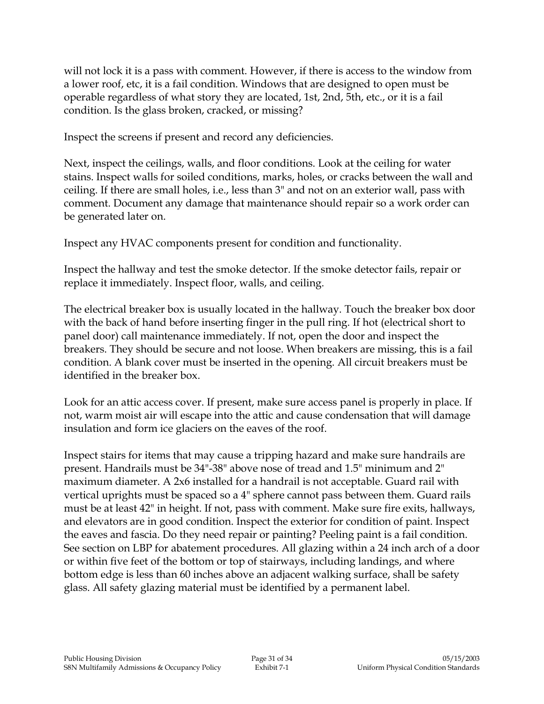will not lock it is a pass with comment. However, if there is access to the window from a lower roof, etc, it is a fail condition. Windows that are designed to open must be operable regardless of what story they are located, 1st, 2nd, 5th, etc., or it is a fail condition. Is the glass broken, cracked, or missing?

Inspect the screens if present and record any deficiencies.

Next, inspect the ceilings, walls, and floor conditions. Look at the ceiling for water stains. Inspect walls for soiled conditions, marks, holes, or cracks between the wall and ceiling. If there are small holes, i.e., less than 3" and not on an exterior wall, pass with comment. Document any damage that maintenance should repair so a work order can be generated later on.

Inspect any HVAC components present for condition and functionality.

Inspect the hallway and test the smoke detector. If the smoke detector fails, repair or replace it immediately. Inspect floor, walls, and ceiling.

The electrical breaker box is usually located in the hallway. Touch the breaker box door with the back of hand before inserting finger in the pull ring. If hot (electrical short to panel door) call maintenance immediately. If not, open the door and inspect the breakers. They should be secure and not loose. When breakers are missing, this is a fail condition. A blank cover must be inserted in the opening. All circuit breakers must be identified in the breaker box.

Look for an attic access cover. If present, make sure access panel is properly in place. If not, warm moist air will escape into the attic and cause condensation that will damage insulation and form ice glaciers on the eaves of the roof.

Inspect stairs for items that may cause a tripping hazard and make sure handrails are present. Handrails must be 34"-38" above nose of tread and 1.5" minimum and 2" maximum diameter. A 2x6 installed for a handrail is not acceptable. Guard rail with vertical uprights must be spaced so a 4" sphere cannot pass between them. Guard rails must be at least 42" in height. If not, pass with comment. Make sure fire exits, hallways, and elevators are in good condition. Inspect the exterior for condition of paint. Inspect the eaves and fascia. Do they need repair or painting? Peeling paint is a fail condition. See section on LBP for abatement procedures. All glazing within a 24 inch arch of a door or within five feet of the bottom or top of stairways, including landings, and where bottom edge is less than 60 inches above an adjacent walking surface, shall be safety glass. All safety glazing material must be identified by a permanent label.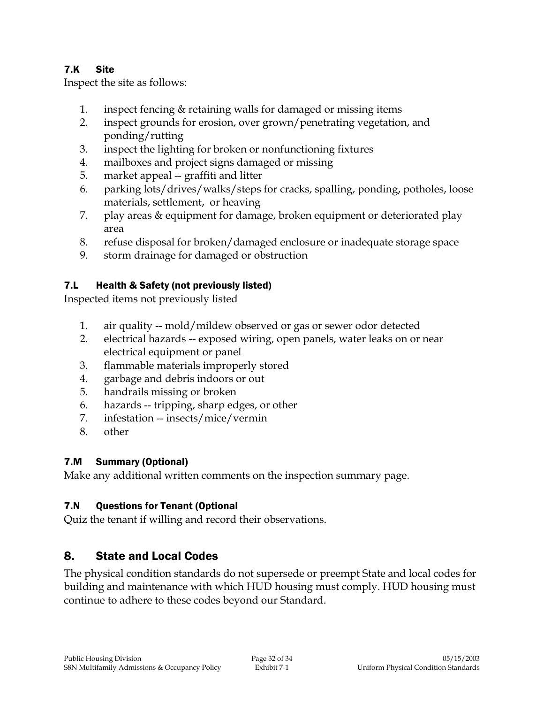### 7.K Site

Inspect the site as follows:

- 1. inspect fencing & retaining walls for damaged or missing items
- 2. inspect grounds for erosion, over grown/penetrating vegetation, and ponding/rutting
- 3. inspect the lighting for broken or nonfunctioning fixtures
- 4. mailboxes and project signs damaged or missing
- 5. market appeal -- graffiti and litter
- 6. parking lots/drives/walks/steps for cracks, spalling, ponding, potholes, loose materials, settlement, or heaving
- 7. play areas & equipment for damage, broken equipment or deteriorated play area
- 8. refuse disposal for broken/damaged enclosure or inadequate storage space
- 9. storm drainage for damaged or obstruction

### 7.L Health & Safety (not previously listed)

Inspected items not previously listed

- 1. air quality -- mold/mildew observed or gas or sewer odor detected
- 2. electrical hazards -- exposed wiring, open panels, water leaks on or near electrical equipment or panel
- 3. flammable materials improperly stored
- 4. garbage and debris indoors or out
- 5. handrails missing or broken
- 6. hazards -- tripping, sharp edges, or other
- 7. infestation -- insects/mice/vermin
- 8. other

#### 7.M Summary (Optional)

Make any additional written comments on the inspection summary page.

## 7.N Questions for Tenant (Optional

Quiz the tenant if willing and record their observations.

## 8. State and Local Codes

The physical condition standards do not supersede or preempt State and local codes for building and maintenance with which HUD housing must comply. HUD housing must continue to adhere to these codes beyond our Standard.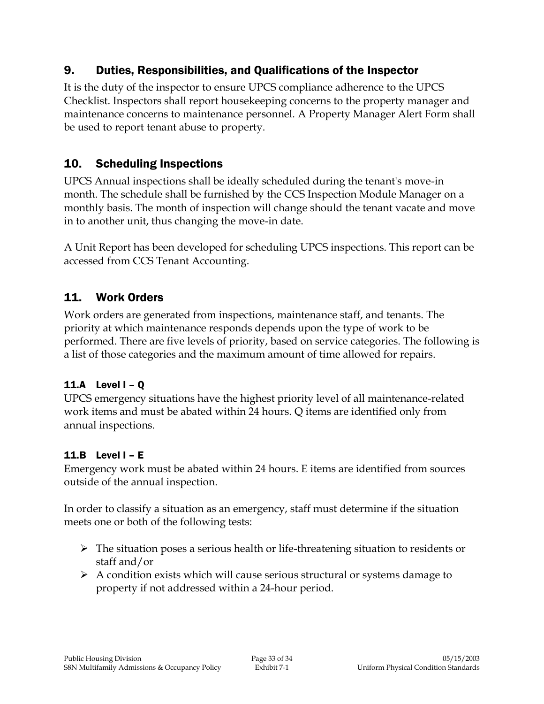## 9. Duties, Responsibilities, and Qualifications of the Inspector

It is the duty of the inspector to ensure UPCS compliance adherence to the UPCS Checklist. Inspectors shall report housekeeping concerns to the property manager and maintenance concerns to maintenance personnel. A Property Manager Alert Form shall be used to report tenant abuse to property.

## 10. Scheduling Inspections

UPCS Annual inspections shall be ideally scheduled during the tenant's move-in month. The schedule shall be furnished by the CCS Inspection Module Manager on a monthly basis. The month of inspection will change should the tenant vacate and move in to another unit, thus changing the move-in date.

A Unit Report has been developed for scheduling UPCS inspections. This report can be accessed from CCS Tenant Accounting.

## 11. Work Orders

Work orders are generated from inspections, maintenance staff, and tenants. The priority at which maintenance responds depends upon the type of work to be performed. There are five levels of priority, based on service categories. The following is a list of those categories and the maximum amount of time allowed for repairs.

## 11.A Level  $I - Q$

UPCS emergency situations have the highest priority level of all maintenance-related work items and must be abated within 24 hours. Q items are identified only from annual inspections.

## 11.B Level  $I - E$

Emergency work must be abated within 24 hours. E items are identified from sources outside of the annual inspection.

In order to classify a situation as an emergency, staff must determine if the situation meets one or both of the following tests:

- $\triangleright$  The situation poses a serious health or life-threatening situation to residents or staff and/or
- $\triangleright$  A condition exists which will cause serious structural or systems damage to property if not addressed within a 24-hour period.